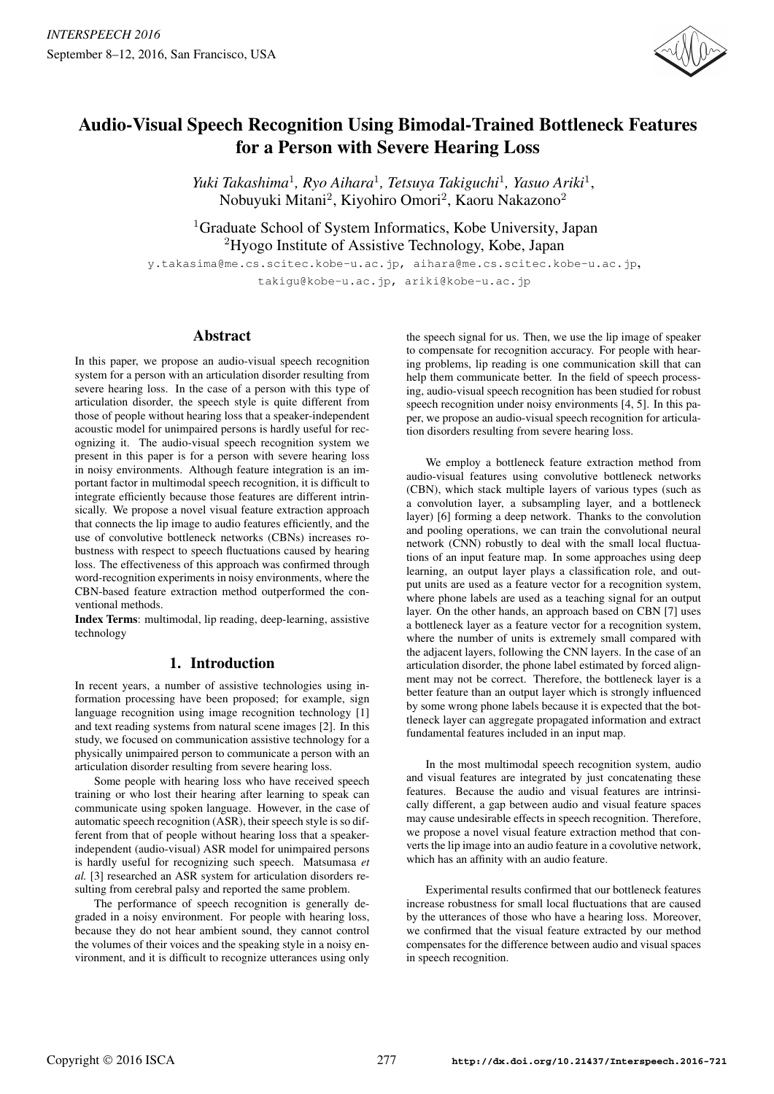

# Audio-Visual Speech Recognition Using Bimodal-Trained Bottleneck Features for a Person with Severe Hearing Loss

*Yuki Takashima*<sup>1</sup>*, Ryo Aihara*<sup>1</sup>*, Tetsuya Takiguchi*<sup>1</sup>*, Yasuo Ariki*<sup>1</sup>, Nobuyuki Mitani<sup>2</sup>, Kiyohiro Omori<sup>2</sup>, Kaoru Nakazono<sup>2</sup>

<sup>1</sup>Graduate School of System Informatics, Kobe University, Japan <sup>2</sup>Hyogo Institute of Assistive Technology, Kobe, Japan

y.takasima@me.cs.scitec.kobe-u.ac.jp, aihara@me.cs.scitec.kobe-u.ac.jp,  $\ldots$  joint ariki $\mathfrak{g}_1$ , ariki $\ldots$  ariki $\mathfrak{g}_1$ 

# Abstract

In this paper, we propose an audio-visual speech recognition system for a person with an articulation disorder resulting from severe hearing loss. In the case of a person with this type of articulation disorder, the speech style is quite different from those of people without hearing loss that a speaker-independent acoustic model for unimpaired persons is hardly useful for recognizing it. The audio-visual speech recognition system we present in this paper is for a person with severe hearing loss in noisy environments. Although feature integration is an important factor in multimodal speech recognition, it is difficult to integrate efficiently because those features are different intrinsically. We propose a novel visual feature extraction approach that connects the lip image to audio features efficiently, and the use of convolutive bottleneck networks (CBNs) increases robustness with respect to speech fluctuations caused by hearing loss. The effectiveness of this approach was confirmed through word-recognition experiments in noisy environments, where the CBN-based feature extraction method outperformed the conventional methods.

Index Terms: multimodal, lip reading, deep-learning, assistive technology

# 1. Introduction

In recent years, a number of assistive technologies using information processing have been proposed; for example, sign language recognition using image recognition technology [1] and text reading systems from natural scene images [2]. In this study, we focused on communication assistive technology for a physically unimpaired person to communicate a person with an articulation disorder resulting from severe hearing loss.

Some people with hearing loss who have received speech training or who lost their hearing after learning to speak can communicate using spoken language. However, in the case of automatic speech recognition (ASR), their speech style is so different from that of people without hearing loss that a speakerindependent (audio-visual) ASR model for unimpaired persons is hardly useful for recognizing such speech. Matsumasa *et al.* [3] researched an ASR system for articulation disorders resulting from cerebral palsy and reported the same problem.

The performance of speech recognition is generally degraded in a noisy environment. For people with hearing loss, because they do not hear ambient sound, they cannot control the volumes of their voices and the speaking style in a noisy environment, and it is difficult to recognize utterances using only the speech signal for us. Then, we use the lip image of speaker to compensate for recognition accuracy. For people with hearing problems, lip reading is one communication skill that can help them communicate better. In the field of speech processing, audio-visual speech recognition has been studied for robust speech recognition under noisy environments [4, 5]. In this paper, we propose an audio-visual speech recognition for articulation disorders resulting from severe hearing loss.

We employ a bottleneck feature extraction method from audio-visual features using convolutive bottleneck networks (CBN), which stack multiple layers of various types (such as a convolution layer, a subsampling layer, and a bottleneck layer) [6] forming a deep network. Thanks to the convolution and pooling operations, we can train the convolutional neural network (CNN) robustly to deal with the small local fluctuations of an input feature map. In some approaches using deep learning, an output layer plays a classification role, and output units are used as a feature vector for a recognition system, where phone labels are used as a teaching signal for an output layer. On the other hands, an approach based on CBN [7] uses a bottleneck layer as a feature vector for a recognition system, where the number of units is extremely small compared with the adjacent layers, following the CNN layers. In the case of an articulation disorder, the phone label estimated by forced alignment may not be correct. Therefore, the bottleneck layer is a better feature than an output layer which is strongly influenced by some wrong phone labels because it is expected that the bottleneck layer can aggregate propagated information and extract fundamental features included in an input map.

In the most multimodal speech recognition system, audio and visual features are integrated by just concatenating these features. Because the audio and visual features are intrinsically different, a gap between audio and visual feature spaces may cause undesirable effects in speech recognition. Therefore, we propose a novel visual feature extraction method that converts the lip image into an audio feature in a covolutive network, which has an affinity with an audio feature.

Experimental results confirmed that our bottleneck features increase robustness for small local fluctuations that are caused by the utterances of those who have a hearing loss. Moreover, we confirmed that the visual feature extracted by our method compensates for the difference between audio and visual spaces in speech recognition.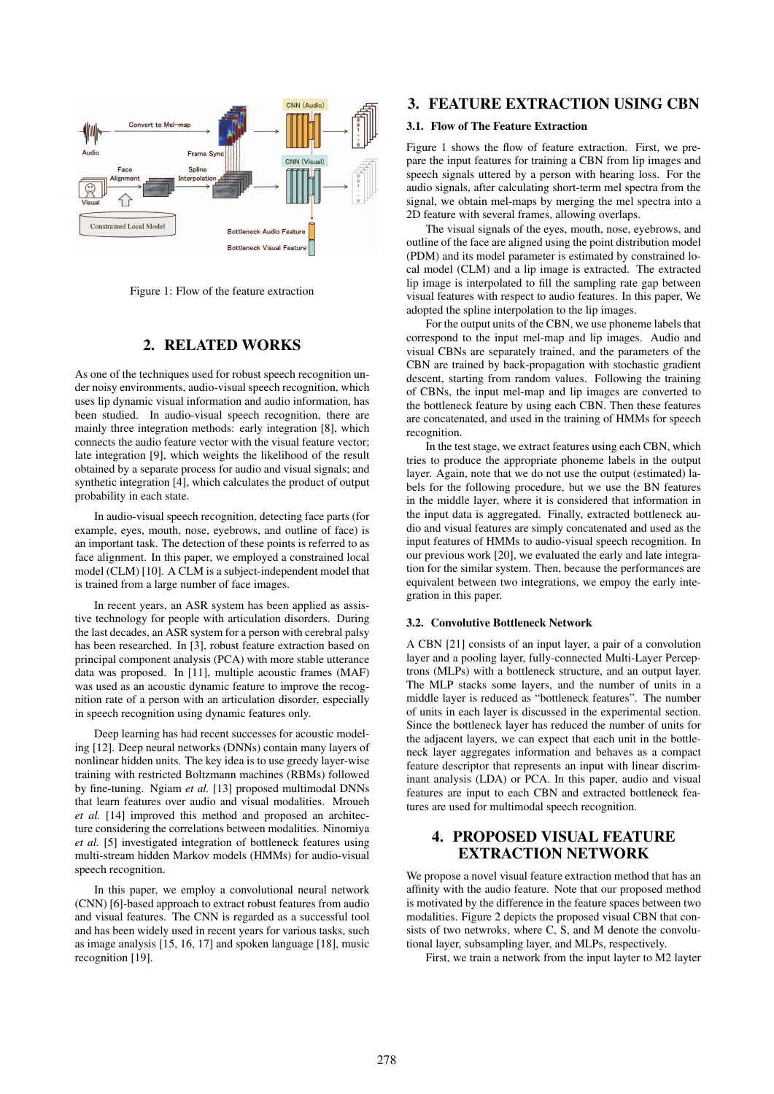

Figure 1: Flow of the feature extraction

## 2. RELATED WORKS

As one of the techniques used for robust speech recognition under noisy environments, audio-visual speech recognition, which uses lip dynamic visual information and audio information, has been studied. In audio-visual speech recognition, there are mainly three integration methods: early integration [8], which connects the audio feature vector with the visual feature vector; late integration [9], which weights the likelihood of the result obtained by a separate process for audio and visual signals; and synthetic integration [4], which calculates the product of output probability in each state.

In audio-visual speech recognition, detecting face parts (for example, eyes, mouth, nose, eyebrows, and outline of face) is an important task. The detection of these points is referred to as face alignment. In this paper, we employed a constrained local model (CLM) [10]. A CLM is a subject-independent model that is trained from a large number of face images.

In recent years, an ASR system has been applied as assistive technology for people with articulation disorders. During the last decades, an ASR system for a person with cerebral palsy has been researched. In [3], robust feature extraction based on principal component analysis (PCA) with more stable utterance data was proposed. In [11], multiple acoustic frames (MAF) was used as an acoustic dynamic feature to improve the recognition rate of a person with an articulation disorder, especially in speech recognition using dynamic features only.

Deep learning has had recent successes for acoustic modeling [12]. Deep neural networks (DNNs) contain many layers of nonlinear hidden units. The key idea is to use greedy layer-wise training with restricted Boltzmann machines (RBMs) followed by fine-tuning. Ngiam *et al.* [13] proposed multimodal DNNs that learn features over audio and visual modalities. Mroueh *et al.* [14] improved this method and proposed an architecture considering the correlations between modalities. Ninomiya *et al.* [5] investigated integration of bottleneck features using multi-stream hidden Markov models (HMMs) for audio-visual speech recognition.

In this paper, we employ a convolutional neural network (CNN) [6]-based approach to extract robust features from audio and visual features. The CNN is regarded as a successful tool and has been widely used in recent years for various tasks, such as image analysis [15, 16, 17] and spoken language [18], music recognition [19].

# 3. FEATURE EXTRACTION USING CBN

### 3.1. Flow of The Feature Extraction

Figure 1 shows the flow of feature extraction. First, we prepare the input features for training a CBN from lip images and speech signals uttered by a person with hearing loss. For the audio signals, after calculating short-term mel spectra from the signal, we obtain mel-maps by merging the mel spectra into a 2D feature with several frames, allowing overlaps.

The visual signals of the eyes, mouth, nose, eyebrows, and outline of the face are aligned using the point distribution model (PDM) and its model parameter is estimated by constrained local model (CLM) and a lip image is extracted. The extracted lip image is interpolated to fill the sampling rate gap between visual features with respect to audio features. In this paper, We adopted the spline interpolation to the lip images.

For the output units of the CBN, we use phoneme labels that correspond to the input mel-map and lip images. Audio and visual CBNs are separately trained, and the parameters of the CBN are trained by back-propagation with stochastic gradient descent, starting from random values. Following the training of CBNs, the input mel-map and lip images are converted to the bottleneck feature by using each CBN. Then these features are concatenated, and used in the training of HMMs for speech recognition.

In the test stage, we extract features using each CBN, which tries to produce the appropriate phoneme labels in the output layer. Again, note that we do not use the output (estimated) labels for the following procedure, but we use the BN features in the middle layer, where it is considered that information in the input data is aggregated. Finally, extracted bottleneck audio and visual features are simply concatenated and used as the input features of HMMs to audio-visual speech recognition. In our previous work [20], we evaluated the early and late integration for the similar system. Then, because the performances are equivalent between two integrations, we empoy the early integration in this paper.

### 3.2. Convolutive Bottleneck Network

A CBN [21] consists of an input layer, a pair of a convolution layer and a pooling layer, fully-connected Multi-Layer Perceptrons (MLPs) with a bottleneck structure, and an output layer. The MLP stacks some layers, and the number of units in a middle layer is reduced as "bottleneck features". The number of units in each layer is discussed in the experimental section. Since the bottleneck layer has reduced the number of units for the adjacent layers, we can expect that each unit in the bottleneck layer aggregates information and behaves as a compact feature descriptor that represents an input with linear discriminant analysis (LDA) or PCA. In this paper, audio and visual features are input to each CBN and extracted bottleneck features are used for multimodal speech recognition.

# 4. PROPOSED VISUAL FEATURE EXTRACTION NETWORK

We propose a novel visual feature extraction method that has an affinity with the audio feature. Note that our proposed method is motivated by the difference in the feature spaces between two modalities. Figure 2 depicts the proposed visual CBN that consists of two netwroks, where C, S, and M denote the convolutional layer, subsampling layer, and MLPs, respectively.

First, we train a network from the input layter to M2 layter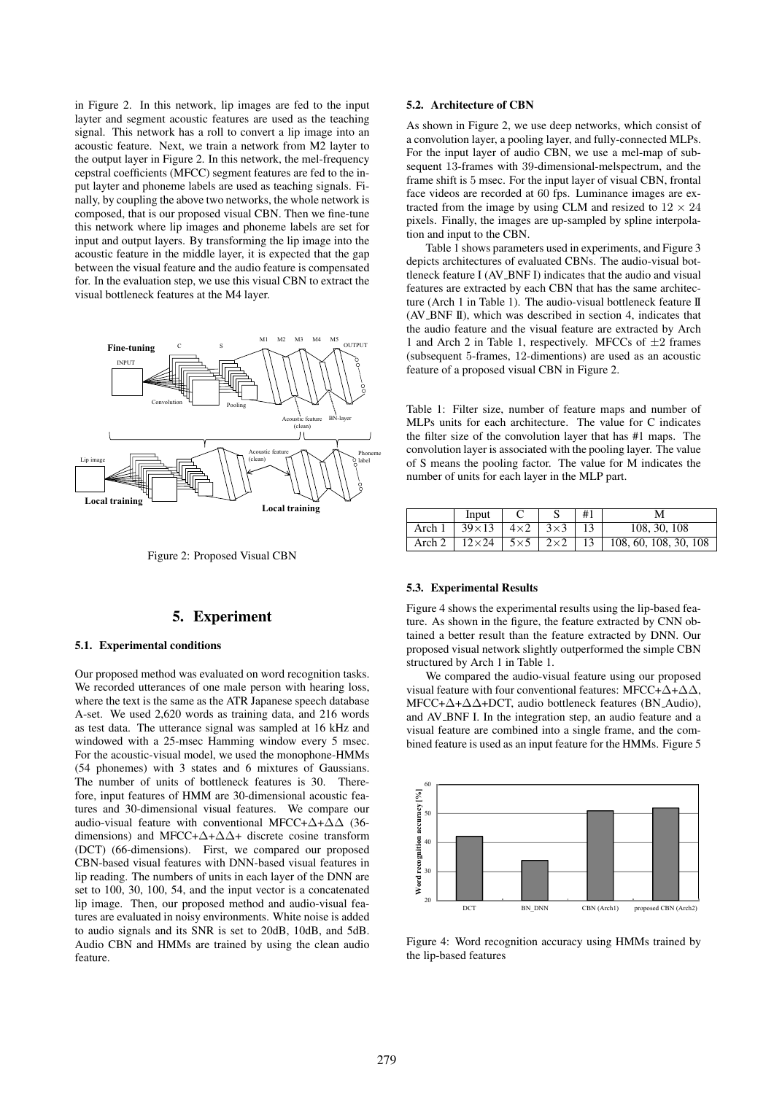in Figure 2. In this network, lip images are fed to the input layter and segment acoustic features are used as the teaching signal. This network has a roll to convert a lip image into an acoustic feature. Next, we train a network from M2 layter to the output layer in Figure 2. In this network, the mel-frequency cepstral coefficients (MFCC) segment features are fed to the input layter and phoneme labels are used as teaching signals. Finally, by coupling the above two networks, the whole network is composed, that is our proposed visual CBN. Then we fine-tune this network where lip images and phoneme labels are set for input and output layers. By transforming the lip image into the acoustic feature in the middle layer, it is expected that the gap between the visual feature and the audio feature is compensated for. In the evaluation step, we use this visual CBN to extract the visual bottleneck features at the M4 layer.



Figure 2: Proposed Visual CBN

### 5. Experiment

### 5.1. Experimental conditions

Our proposed method was evaluated on word recognition tasks. We recorded utterances of one male person with hearing loss, where the text is the same as the ATR Japanese speech database A-set. We used 2,620 words as training data, and 216 words as test data. The utterance signal was sampled at 16 kHz and windowed with a 25-msec Hamming window every 5 msec. For the acoustic-visual model, we used the monophone-HMMs (54 phonemes) with 3 states and 6 mixtures of Gaussians. The number of units of bottleneck features is 30. Therefore, input features of HMM are 30-dimensional acoustic features and 30-dimensional visual features. We compare our audio-visual feature with conventional MFCC+ $\Delta$ + $\Delta\Delta$  (36dimensions) and MFCC+ $\Delta$ + $\Delta\Delta$ + discrete cosine transform (DCT) (66-dimensions). First, we compared our proposed CBN-based visual features with DNN-based visual features in lip reading. The numbers of units in each layer of the DNN are set to 100, 30, 100, 54, and the input vector is a concatenated lip image. Then, our proposed method and audio-visual features are evaluated in noisy environments. White noise is added to audio signals and its SNR is set to 20dB, 10dB, and 5dB. Audio CBN and HMMs are trained by using the clean audio feature.

### 5.2. Architecture of CBN

As shown in Figure 2, we use deep networks, which consist of a convolution layer, a pooling layer, and fully-connected MLPs. For the input layer of audio CBN, we use a mel-map of subsequent 13-frames with 39-dimensional-melspectrum, and the frame shift is 5 msec. For the input layer of visual CBN, frontal face videos are recorded at 60 fps. Luminance images are extracted from the image by using CLM and resized to  $12 \times 24$ pixels. Finally, the images are up-sampled by spline interpolation and input to the CBN.

Table 1 shows parameters used in experiments, and Figure 3 depicts architectures of evaluated CBNs. The audio-visual bottleneck feature I (AV\_BNF I) indicates that the audio and visual features are extracted by each CBN that has the same architecture (Arch 1 in Table 1). The audio-visual bottleneck feature II (AV BNF II), which was described in section 4, indicates that the audio feature and the visual feature are extracted by Arch 1 and Arch 2 in Table 1, respectively. MFCCs of  $\pm 2$  frames (subsequent 5-frames, 12-dimentions) are used as an acoustic feature of a proposed visual CBN in Figure 2.

Table 1: Filter size, number of feature maps and number of MLPs units for each architecture. The value for C indicates the filter size of the convolution layer that has #1 maps. The convolution layer is associated with the pooling layer. The value of S means the pooling factor. The value for M indicates the number of units for each layer in the MLP part.

|        | Input         |            |            | #1 | M                     |
|--------|---------------|------------|------------|----|-----------------------|
| Arch 1 | $39\times13$  | $4\times2$ | $3\times3$ |    | 108, 30, 108          |
| Arch 2 | $12\times 24$ | $5\times5$ | $2\times2$ | 13 | 108, 60, 108, 30, 108 |

#### 5.3. Experimental Results

Figure 4 shows the experimental results using the lip-based feature. As shown in the figure, the feature extracted by CNN obtained a better result than the feature extracted by DNN. Our proposed visual network slightly outperformed the simple CBN structured by Arch 1 in Table 1.

We compared the audio-visual feature using our proposed visual feature with four conventional features: MFCC+ $\Delta$ + $\Delta\Delta$ , MFCC+ $\Delta$ + $\Delta\Delta$ +DCT, audio bottleneck features (BN\_Audio), and AV BNF I. In the integration step, an audio feature and a visual feature are combined into a single frame, and the combined feature is used as an input feature for the HMMs. Figure 5



Figure 4: Word recognition accuracy using HMMs trained by the lip-based features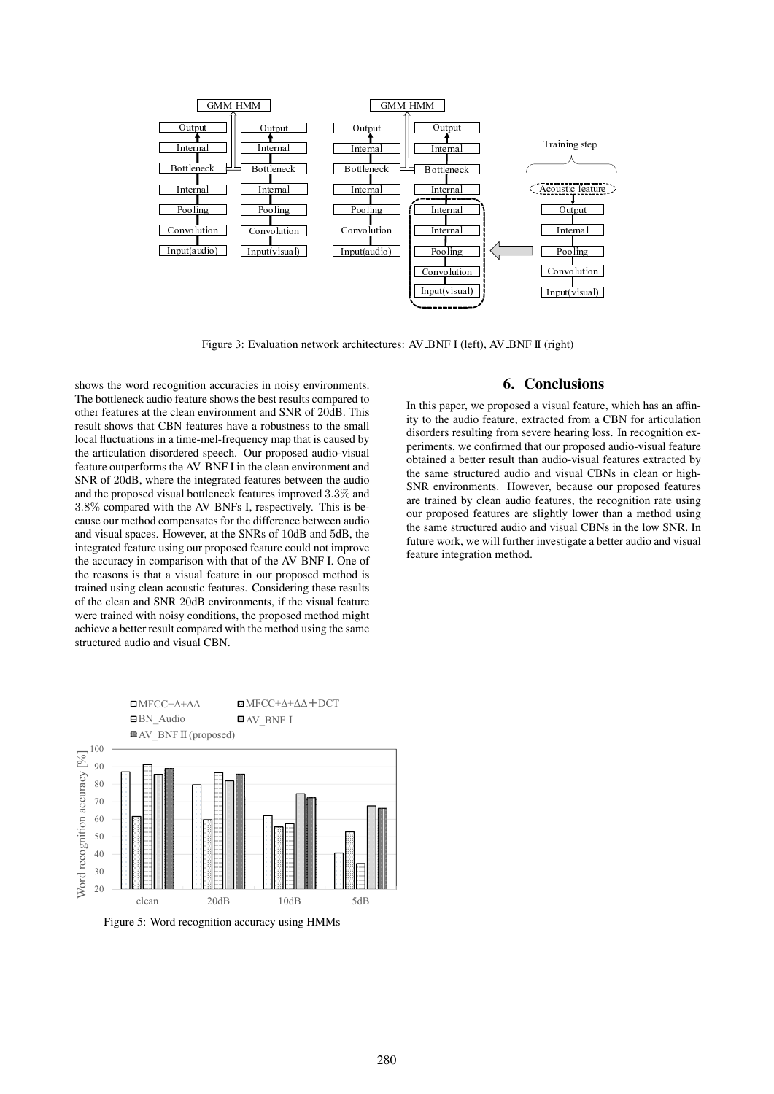

Figure 3: Evaluation network architectures: AV\_BNF I (left), AV\_BNF II (right)

shows the word recognition accuracies in noisy environments. The bottleneck audio feature shows the best results compared to other features at the clean environment and SNR of 20dB. This result shows that CBN features have a robustness to the small local fluctuations in a time-mel-frequency map that is caused by the articulation disordered speech. Our proposed audio-visual feature outperforms the AV\_BNF I in the clean environment and SNR of 20dB, where the integrated features between the audio and the proposed visual bottleneck features improved 3.3% and 3.8% compared with the AV BNFs I, respectively. This is because our method compensates for the difference between audio and visual spaces. However, at the SNRs of 10dB and 5dB, the integrated feature using our proposed feature could not improve the accuracy in comparison with that of the AV BNF I. One of the reasons is that a visual feature in our proposed method is trained using clean acoustic features. Considering these results of the clean and SNR 20dB environments, if the visual feature were trained with noisy conditions, the proposed method might achieve a better result compared with the method using the same structured audio and visual CBN.



Figure 5: Word recognition accuracy using HMMs

## 6. Conclusions

In this paper, we proposed a visual feature, which has an affinity to the audio feature, extracted from a CBN for articulation disorders resulting from severe hearing loss. In recognition experiments, we confirmed that our proposed audio-visual feature obtained a better result than audio-visual features extracted by the same structured audio and visual CBNs in clean or high-SNR environments. However, because our proposed features are trained by clean audio features, the recognition rate using our proposed features are slightly lower than a method using the same structured audio and visual CBNs in the low SNR. In future work, we will further investigate a better audio and visual feature integration method.